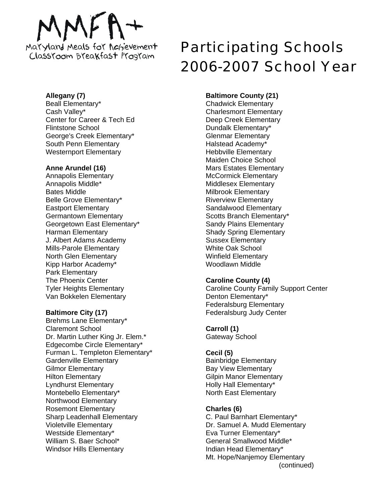# Maryland Meals for Achievement ClassYoom BYeakfast Program

# **Allegany (7)**

Beall Elementary\* Cash Valley\* Center for Career & Tech Ed Flintstone School George's Creek Elementary\* South Penn Elementary Westernport Elementary

# **Anne Arundel (16)**

Annapolis Elementary Annapolis Middle\* Bates Middle Belle Grove Elementary\* Eastport Elementary Germantown Elementary Georgetown East Elementary\* Harman Elementary J. Albert Adams Academy Mills-Parole Elementary North Glen Elementary Kipp Harbor Academy\* Park Elementary The Phoenix Center Tyler Heights Elementary Van Bokkelen Elementary

# **Baltimore City (17)**

Brehms Lane Elementary\* Claremont School Dr. Martin Luther King Jr. Elem.\* Edgecombe Circle Elementary\* Furman L. Templeton Elementary\* Gardenville Elementary Gilmor Elementary Hilton Elementary Lyndhurst Elementary Montebello Elementary\* Northwood Elementary Rosemont Elementary Sharp Leadenhall Elementary Violetville Elementary Westside Elementary\* William S. Baer School\* Windsor Hills Elementary

# Participating Schools 2006-2007 School Year

# **Baltimore County (21)**

Chadwick Elementary Charlesmont Elementary Deep Creek Elementary Dundalk Elementary\* Glenmar Elementary Halstead Academy\* Hebbville Elementary Maiden Choice School Mars Estates Elementary McCormick Elementary Middlesex Elementary Milbrook Elementary Riverview Elementary Sandalwood Elementary Scotts Branch Elementary\* Sandy Plains Elementary Shady Spring Elementary Sussex Elementary White Oak School Winfield Elementary Woodlawn Middle

# **Caroline County (4)**

Caroline County Family Support Center Denton Elementary\* Federalsburg Elementary Federalsburg Judy Center

# **Carroll (1)**

Gateway School

# **Cecil (5)**

Bainbridge Elementary Bay View Elementary Gilpin Manor Elementary Holly Hall Elementary\* North East Elementary

# **Charles (6)**

C. Paul Barnhart Elementary\* Dr. Samuel A. Mudd Elementary Eva Turner Elementary\* General Smallwood Middle\* Indian Head Elementary\* Mt. Hope/Nanjemoy Elementary (continued)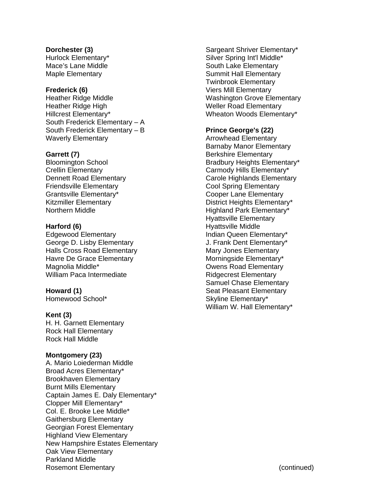**Dorchester (3)**  Hurlock Elementary\* Mace's Lane Middle Maple Elementary

#### **Frederick (6)**

Heather Ridge Middle Heather Ridge High Hillcrest Elementary\* South Frederick Elementary – A South Frederick Elementary – B Waverly Elementary

# **Garrett (7)**

Bloomington School Crellin Elementary Dennett Road Elementary Friendsville Elementary Grantsville Elementary\* Kitzmiller Elementary Northern Middle

# **Harford (6)**

Edgewood Elementary George D. Lisby Elementary Halls Cross Road Elementary Havre De Grace Elementary Magnolia Middle\* William Paca Intermediate

#### **Howard (1)**

Homewood School\*

#### **Kent (3)**

H. H. Garnett Elementary Rock Hall Elementary Rock Hall Middle

#### **Montgomery (23)**

A. Mario Loiederman Middle Broad Acres Elementary\* Brookhaven Elementary Burnt Mills Elementary Captain James E. Daly Elementary\* Clopper Mill Elementary\* Col. E. Brooke Lee Middle\* Gaithersburg Elementary Georgian Forest Elementary Highland View Elementary New Hampshire Estates Elementary Oak View Elementary Parkland Middle Rosemont Elementary

Sargeant Shriver Elementary\* Silver Spring Int'l Middle\* South Lake Elementary Summit Hall Elementary Twinbrook Elementary Viers Mill Elementary Washington Grove Elementary Weller Road Elementary Wheaton Woods Elementary\*

#### **Prince George's (22)**

Arrowhead Elementary Barnaby Manor Elementary Berkshire Elementary Bradbury Heights Elementary\* Carmody Hills Elementary\* Carole Highlands Elementary Cool Spring Elementary Cooper Lane Elementary District Heights Elementary\* Highland Park Elementary\* Hyattsville Elementary Hyattsville Middle Indian Queen Elementary\* J. Frank Dent Elementary\* Mary Jones Elementary Morningside Elementary\* Owens Road Elementary Ridgecrest Elementary Samuel Chase Elementary Seat Pleasant Elementary Skyline Elementary\* William W. Hall Elementary\*